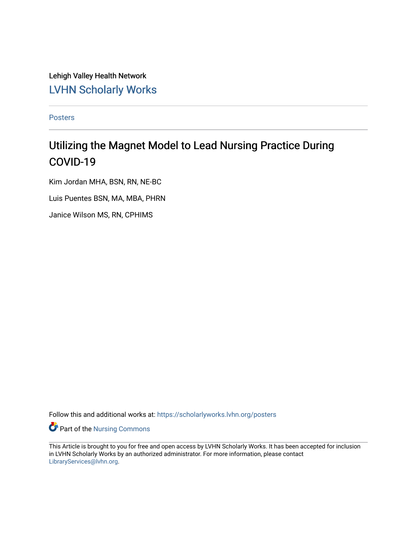Lehigh Valley Health Network [LVHN Scholarly Works](https://scholarlyworks.lvhn.org/)

[Posters](https://scholarlyworks.lvhn.org/posters) 

#### Utilizing the Magnet Model to Lead Nursing Practice During COVID-19

Kim Jordan MHA, BSN, RN, NE-BC Luis Puentes BSN, MA, MBA, PHRN Janice Wilson MS, RN, CPHIMS

Follow this and additional works at: [https://scholarlyworks.lvhn.org/posters](https://scholarlyworks.lvhn.org/posters?utm_source=scholarlyworks.lvhn.org%2Fposters%2F12&utm_medium=PDF&utm_campaign=PDFCoverPages) 

Part of the [Nursing Commons](http://network.bepress.com/hgg/discipline/718?utm_source=scholarlyworks.lvhn.org%2Fposters%2F12&utm_medium=PDF&utm_campaign=PDFCoverPages) 

This Article is brought to you for free and open access by LVHN Scholarly Works. It has been accepted for inclusion in LVHN Scholarly Works by an authorized administrator. For more information, please contact [LibraryServices@lvhn.org](mailto:LibraryServices@lvhn.org).